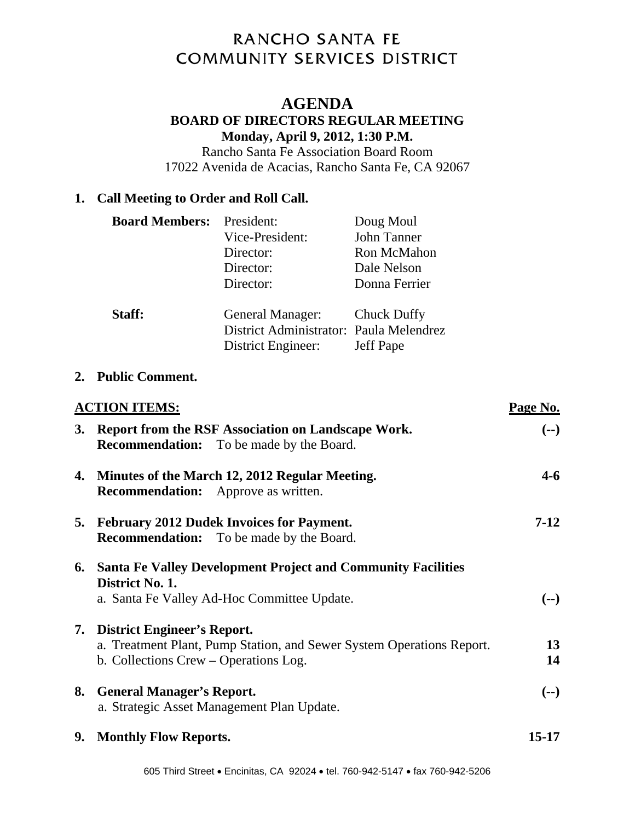# RANCHO SANTA FE **COMMUNITY SERVICES DISTRICT**

# **AGENDA**

### **BOARD OF DIRECTORS REGULAR MEETING Monday, April 9, 2012, 1:30 P.M.**

Rancho Santa Fe Association Board Room 17022 Avenida de Acacias, Rancho Santa Fe, CA 92067

# **1. Call Meeting to Order and Roll Call.**

| <b>Board Members:</b> President: |                                         | Doug Moul        |
|----------------------------------|-----------------------------------------|------------------|
|                                  | Vice-President:                         | John Tanner      |
|                                  | Director:                               | Ron McMahon      |
|                                  | Director:                               | Dale Nelson      |
|                                  | Director:                               | Donna Ferrier    |
| Staff:                           | General Manager: Chuck Duffy            |                  |
|                                  | District Administrator: Paula Melendrez |                  |
|                                  | District Engineer:                      | <b>Jeff Pape</b> |

#### **2. Public Comment.**

|    | <b>ACTION ITEMS:</b>                                                                                                                             |           |
|----|--------------------------------------------------------------------------------------------------------------------------------------------------|-----------|
| 3. | Report from the RSF Association on Landscape Work.<br><b>Recommendation:</b> To be made by the Board.                                            | $(--)$    |
| 4. | Minutes of the March 12, 2012 Regular Meeting.<br><b>Recommendation:</b> Approve as written.                                                     | 4-6       |
| 5. | <b>February 2012 Dudek Invoices for Payment.</b><br><b>Recommendation:</b> To be made by the Board.                                              | $7-12$    |
| 6. | <b>Santa Fe Valley Development Project and Community Facilities</b><br>District No. 1.<br>a. Santa Fe Valley Ad-Hoc Committee Update.            | $(--)$    |
|    | 7. District Engineer's Report.<br>a. Treatment Plant, Pump Station, and Sewer System Operations Report.<br>b. Collections Crew – Operations Log. | 13<br>14  |
| 8. | <b>General Manager's Report.</b><br>a. Strategic Asset Management Plan Update.                                                                   | $(--)$    |
| 9. | <b>Monthly Flow Reports.</b>                                                                                                                     | $15 - 17$ |